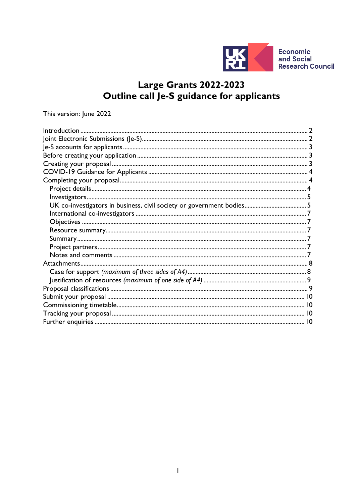

**Economic<br>and Social Research Council** 

# Large Grants 2022-2023<br>Outline call Je-S guidance for applicants

This version: June 2022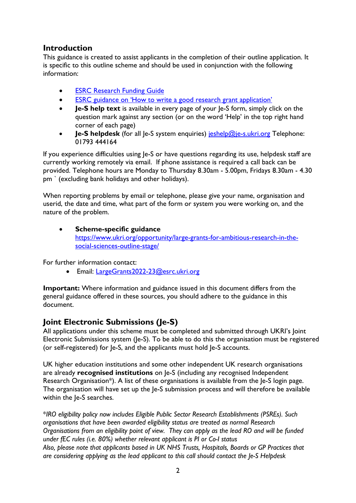## <span id="page-1-0"></span>**Introduction**

This guidance is created to assist applicants in the completion of their outline application. It is specific to this outline scheme and should be used in conjunction with the following information:

- **[ESRC Research Funding Guide](https://esrc.ukri.org/funding/guidance-for-applicants/research-funding-guide/)**
- [ESRC guidance on 'How to write a good research grant application'](https://esrc.ukri.org/funding/guidance-for-applicants/how-to-write-a-good-research-grant-proposal/)
- **Je-S help text** is available in every page of your le-S form, simply click on the question mark against any section (or on the word 'Help' in the top right hand corner of each page)
- **Je-S helpdesk** (for all Je-S system enquiries) [jeshelp@je-s.ukri.org](mailto:jeshelp@je-s.ukri.org) Telephone: 01793 444164

If you experience difficulties using Je-S or have questions regarding its use, helpdesk staff are currently working remotely via email. If phone assistance is required a call back can be provided. Telephone hours are Monday to Thursday 8.30am - 5.00pm, Fridays 8.30am - 4.30 pm ` (excluding bank holidays and other holidays).

When reporting problems by email or telephone, please give your name, organisation and userid, the date and time, what part of the form or system you were working on, and the nature of the problem.

## • **Scheme-specific guidance** [https://www.ukri.org/opportunity/large-grants-for-ambitious-research-in-the](https://www.ukri.org/opportunity/large-grants-for-ambitious-research-in-the-social-sciences-outline-stage/)[social-sciences-outline-stage/](https://www.ukri.org/opportunity/large-grants-for-ambitious-research-in-the-social-sciences-outline-stage/)

For further information contact:

• Email: [LargeGrants2022-23@esrc.ukri.org](mailto:LargeGrants2022-23@esrc.ukri.org)

**Important:** Where information and guidance issued in this document differs from the general guidance offered in these sources, you should adhere to the guidance in this document.

# <span id="page-1-1"></span>**Joint Electronic Submissions (Je-S)**

All applications under this scheme must be completed and submitted through UKRI's Joint Electronic Submissions system (Je-S). To be able to do this the organisation must be registered (or self-registered) for Je-S, and the applicants must hold Je-S accounts.

UK higher education institutions and some other independent UK research organisations are already **recognised institutions** on Je-S (including any recognised Independent Research Organisation\*). A list of these organisations is available from the Je-S login page. The organisation will have set up the le-S submission process and will therefore be available within the Je-S searches.

\**IRO eligibility policy now includes Eligible Public Sector Research Establishments (PSREs). Such organisations that have been awarded eligibility status are treated as normal Research Organisations from an eligibility point of view. They can apply as the lead RO and will be funded under fEC rules (i.e. 80%) whether relevant applicant is PI or Co-I status Also, please note that applicants based in UK NHS Trusts, Hospitals, Boards or GP Practices that are considering applying as the lead applicant to this call should contact the Je-S Helpdesk*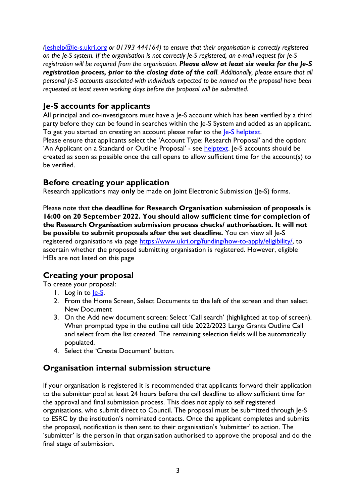*(*[jeshelp@je-s.ukri.org](mailto:jeshelp@je-s.ukri.org) *or 01793 444164) to ensure that their organisation is correctly registered on the Je-S system. If the organisation is not correctly Je-S registered, an e-mail request for Je-S registration will be required from the organisation. Please allow at least six weeks for the Je-S registration process, prior to the closing date of the call. Additionally, please ensure that all personal Je-S accounts associated with individuals expected to be named on the proposal have been requested at least seven working days before the proposal will be submitted*.

# <span id="page-2-0"></span>**Je-S accounts for applicants**

All principal and co-investigators must have a Je-S account which has been verified by a third party before they can be found in searches within the Je-S System and added as an applicant. To get you started on creating an account please refer to the *le-S* helptext.

Please ensure that applicants select the 'Account Type: Research Proposal' and the option: 'An Applicant on a Standard or Outline Proposal' - see [helptext.](https://je-s.rcuk.ac.uk/Handbook/pages/SettingupaJeSaccount/SettingupaJeSaccount.htm) Je-S accounts should be created as soon as possible once the call opens to allow sufficient time for the account(s) to be verified.

# <span id="page-2-1"></span>**Before creating your application**

Research applications may **only** be made on Joint Electronic Submission (Je-S) forms.

Please note that **the deadline for Research Organisation submission of proposals is 16:00 on 20 September 2022. You should allow sufficient time for completion of the Research Organisation submission process checks/ authorisation. It will not be possible to submit proposals after the set deadline.** You can view all Je-S registered organisations via page [https://www.ukri.org/funding/how-to-apply/eligibility/,](https://www.ukri.org/funding/how-to-apply/eligibility/) to ascertain whether the proposed submitting organisation is registered. However, eligible HEIs are not listed on this page

# <span id="page-2-2"></span>**Creating your proposal**

To create your proposal:

- 1. Log in to le-S.
- 2. From the Home Screen, Select Documents to the left of the screen and then select New Document
- 3. On the Add new document screen: Select 'Call search' (highlighted at top of screen). When prompted type in the outline call title 2022/2023 Large Grants Outline Call and select from the list created. The remaining selection fields will be automatically populated.
- 4. Select the 'Create Document' button.

# **Organisation internal submission structure**

If your organisation is registered it is recommended that applicants forward their application to the submitter pool at least 24 hours before the call deadline to allow sufficient time for the approval and final submission process. This does not apply to self registered organisations, who submit direct to Council. The proposal must be submitted through Je-S to ESRC by the institution's nominated contacts. Once the applicant completes and submits the proposal, notification is then sent to their organisation's 'submitter' to action. The 'submitter' is the person in that organisation authorised to approve the proposal and do the final stage of submission.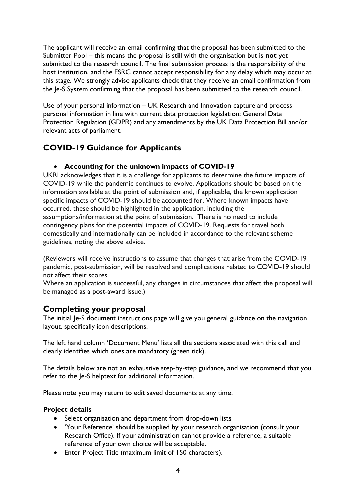The applicant will receive an email confirming that the proposal has been submitted to the Submitter Pool – this means the proposal is still with the organisation but is **not** yet submitted to the research council. The final submission process is the responsibility of the host institution, and the ESRC cannot accept responsibility for any delay which may occur at this stage. We strongly advise applicants check that they receive an email confirmation from the Je-S System confirming that the proposal has been submitted to the research council.

Use of your personal information – UK Research and Innovation capture and process personal information in line with current data protection legislation; General Data Protection Regulation (GDPR) and any amendments by the UK Data Protection Bill and/or relevant acts of parliament.

# <span id="page-3-0"></span>**COVID-19 Guidance for Applicants**

## • **Accounting for the unknown impacts of COVID-19**

UKRI acknowledges that it is a challenge for applicants to determine the future impacts of COVID-19 while the pandemic continues to evolve. Applications should be based on the information available at the point of submission and, if applicable, the known application specific impacts of COVID-19 should be accounted for. Where known impacts have occurred, these should be highlighted in the application, including the assumptions/information at the point of submission. There is no need to include contingency plans for the potential impacts of COVID-19. Requests for travel both domestically and internationally can be included in accordance to the relevant scheme guidelines, noting the above advice.

(Reviewers will receive instructions to assume that changes that arise from the COVID-19 pandemic, post-submission, will be resolved and complications related to COVID-19 should not affect their scores.

Where an application is successful, any changes in circumstances that affect the proposal will be managed as a post-award issue.)

# <span id="page-3-1"></span>**Completing your proposal**

The initial Je-S document instructions page will give you general guidance on the navigation layout, specifically icon descriptions.

The left hand column 'Document Menu' lists all the sections associated with this call and clearly identifies which ones are mandatory (green tick).

The details below are not an exhaustive step-by-step guidance, and we recommend that you refer to the Je-S helptext for additional information.

Please note you may return to edit saved documents at any time.

## <span id="page-3-2"></span>**Project details**

- Select organisation and department from drop-down lists
- 'Your Reference' should be supplied by your research organisation (consult your Research Office). If your administration cannot provide a reference, a suitable reference of your own choice will be acceptable.
- Enter Project Title (maximum limit of 150 characters).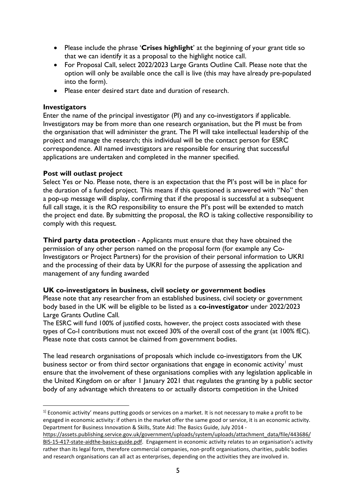- Please include the phrase '**Crises highlight**' at the beginning of your grant title so that we can identify it as a proposal to the highlight notice call.
- For Proposal Call, select 2022/2023 Large Grants Outline Call. Please note that the option will only be available once the call is live (this may have already pre-populated into the form).
- Please enter desired start date and duration of research.

#### <span id="page-4-0"></span>**Investigators**

Enter the name of the principal investigator (PI) and any co-investigators if applicable. Investigators may be from more than one research organisation, but the PI must be from the organisation that will administer the grant. The PI will take intellectual leadership of the project and manage the research; this individual will be the contact person for ESRC correspondence. All named investigators are responsible for ensuring that successful applications are undertaken and completed in the manner specified.

#### **Post will outlast project**

Select Yes or No. Please note, there is an expectation that the PI's post will be in place for the duration of a funded project. This means if this questioned is answered with "No" then a pop-up message will display, confirming that if the proposal is successful at a subsequent full call stage, it is the RO responsibility to ensure the PI's post will be extended to match the project end date. By submitting the proposal, the RO is taking collective responsibility to comply with this request.

**Third party data protection** - Applicants must ensure that they have obtained the permission of any other person named on the proposal form (for example any Co-Investigators or Project Partners) for the provision of their personal information to UKRI and the processing of their data by UKRI for the purpose of assessing the application and management of any funding awarded

#### <span id="page-4-1"></span>**UK co-investigators in business, civil society or government bodies**

Please note that any researcher from an established business, civil society or government body based in the UK will be eligible to be listed as a **co-investigator** under 2022/2023 Large Grants Outline Call*.* 

The ESRC will fund 100% of justified costs, however, the project costs associated with these types of Co-I contributions must not exceed 30% of the overall cost of the grant (at 100% fEC). Please note that costs cannot be claimed from government bodies.

The lead research organisations of proposals which include co-investigators from the UK business sector or from third sector organisations that engage in economic activity<sup>[1](#page-4-2)</sup> must ensure that the involvement of these organisations complies with any legislation applicable in the United Kingdom on or after 1 January 2021 that regulates the granting by a public sector body of any advantage which threatens to or actually distorts competition in the United

<span id="page-4-2"></span> $1$  Economic activity' means putting goods or services on a market. It is not necessary to make a profit to be engaged in economic activity: if others in the market offer the same good or service, it is an economic activity. Department for Business Innovation & Skills, State Aid: The Basics Guide, July 2014 -

[https://assets.publishing.service.gov.uk/government/uploads/system/uploads/attachment\\_data/file/443686/](https://eur01.safelinks.protection.outlook.com/?url=https%3A%2F%2Fassets.publishing.service.gov.uk%2Fgovernment%2Fuploads%2Fsystem%2Fuploads%2Fattachment_data%2Ffile%2F443686%2FBIS-15-417-state-aidthe-basics-guide.pdf&data=04%7C01%7CJulian.Style%40esrc.ukri.org%7C698ff429d0cf449ff2bb08d99961c172%7C2dcfd016f9df488cb16b68345b59afb7%7C0%7C0%7C637709467394267181%7CUnknown%7CTWFpbGZsb3d8eyJWIjoiMC4wLjAwMDAiLCJQIjoiV2luMzIiLCJBTiI6Ik1haWwiLCJXVCI6Mn0%3D%7C1000&sdata=ZuiRexMbE3XfKjDuuuMn96f2FMG04w%2FdfEW7lO6q0VY%3D&reserved=0) [BIS-15-417-state-aidthe-basics-guide.pdf.](https://eur01.safelinks.protection.outlook.com/?url=https%3A%2F%2Fassets.publishing.service.gov.uk%2Fgovernment%2Fuploads%2Fsystem%2Fuploads%2Fattachment_data%2Ffile%2F443686%2FBIS-15-417-state-aidthe-basics-guide.pdf&data=04%7C01%7CJulian.Style%40esrc.ukri.org%7C698ff429d0cf449ff2bb08d99961c172%7C2dcfd016f9df488cb16b68345b59afb7%7C0%7C0%7C637709467394267181%7CUnknown%7CTWFpbGZsb3d8eyJWIjoiMC4wLjAwMDAiLCJQIjoiV2luMzIiLCJBTiI6Ik1haWwiLCJXVCI6Mn0%3D%7C1000&sdata=ZuiRexMbE3XfKjDuuuMn96f2FMG04w%2FdfEW7lO6q0VY%3D&reserved=0) Engagement in economic activity relates to an organisation's activity rather than its legal form, therefore commercial companies, non-profit organisations, charities, public bodies and research organisations can all act as enterprises, depending on the activities they are involved in.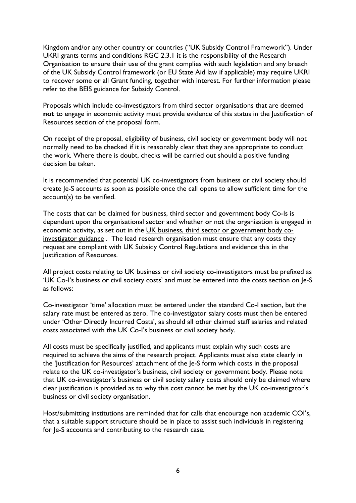Kingdom and/or any other country or countries ("UK Subsidy Control Framework"). Under UKRI grants terms and conditions RGC 2.3.1 it is the responsibility of the Research Organisation to ensure their use of the grant complies with such legislation and any breach of the UK Subsidy Control framework (or EU State Aid law if applicable) may require UKRI to recover some or all Grant funding, together with interest. For further information please refer to the BEIS guidance for Subsidy Control.

Proposals which include co-investigators from third sector organisations that are deemed **not** to engage in economic activity must provide evidence of this status in the Justification of Resources section of the proposal form.

On receipt of the proposal, eligibility of business, civil society or government body will not normally need to be checked if it is reasonably clear that they are appropriate to conduct the work. Where there is doubt, checks will be carried out should a positive funding decision be taken.

It is recommended that potential UK co-investigators from business or civil society should create Je-S accounts as soon as possible once the call opens to allow sufficient time for the account(s) to be verified.

The costs that can be claimed for business, third sector and government body Co-Is is dependent upon the organisational sector and whether or not the organisation is engaged in economic activity, as set out in the [UK business, third sector or government body co](https://eur01.safelinks.protection.outlook.com/?url=https%3A%2F%2Fwww.ukri.org%2Fwp-content%2Fuploads%2F2021%2F07%2FESRC-210721-Including-Co-investigatorsFromUK-businessThirdSectorOrGovernment.pdf&data=04%7C01%7CJulian.Style%40esrc.ukri.org%7C698ff429d0cf449ff2bb08d99961c172%7C2dcfd016f9df488cb16b68345b59afb7%7C0%7C0%7C637709467394257208%7CUnknown%7CTWFpbGZsb3d8eyJWIjoiMC4wLjAwMDAiLCJQIjoiV2luMzIiLCJBTiI6Ik1haWwiLCJXVCI6Mn0%3D%7C1000&sdata=751VEOYY9K%2F%2BDefQW9h7K%2FKdngBaHJFKjHev0dD0g1Y%3D&reserved=0)[investigator guidance](https://eur01.safelinks.protection.outlook.com/?url=https%3A%2F%2Fwww.ukri.org%2Fwp-content%2Fuploads%2F2021%2F07%2FESRC-210721-Including-Co-investigatorsFromUK-businessThirdSectorOrGovernment.pdf&data=04%7C01%7CJulian.Style%40esrc.ukri.org%7C698ff429d0cf449ff2bb08d99961c172%7C2dcfd016f9df488cb16b68345b59afb7%7C0%7C0%7C637709467394257208%7CUnknown%7CTWFpbGZsb3d8eyJWIjoiMC4wLjAwMDAiLCJQIjoiV2luMzIiLCJBTiI6Ik1haWwiLCJXVCI6Mn0%3D%7C1000&sdata=751VEOYY9K%2F%2BDefQW9h7K%2FKdngBaHJFKjHev0dD0g1Y%3D&reserved=0) . The lead research organisation must ensure that any costs they request are compliant with UK Subsidy Control Regulations and evidence this in the Justification of Resources.

All project costs relating to UK business or civil society co-investigators must be prefixed as 'UK Co-I's business or civil society costs' and must be entered into the costs section on Je-S as follows:

Co-investigator 'time' allocation must be entered under the standard Co-I section, but the salary rate must be entered as zero. The co-investigator salary costs must then be entered under 'Other Directly Incurred Costs', as should all other claimed staff salaries and related costs associated with the UK Co-I's business or civil society body.

All costs must be specifically justified, and applicants must explain why such costs are required to achieve the aims of the research project. Applicants must also state clearly in the 'Justification for Resources' attachment of the Je-S form which costs in the proposal relate to the UK co-investigator's business, civil society or government body. Please note that UK co-investigator's business or civil society salary costs should only be claimed where clear justification is provided as to why this cost cannot be met by the UK co-investigator's business or civil society organisation.

Host/submitting institutions are reminded that for calls that encourage non academic COI's, that a suitable support structure should be in place to assist such individuals in registering for Je-S accounts and contributing to the research case.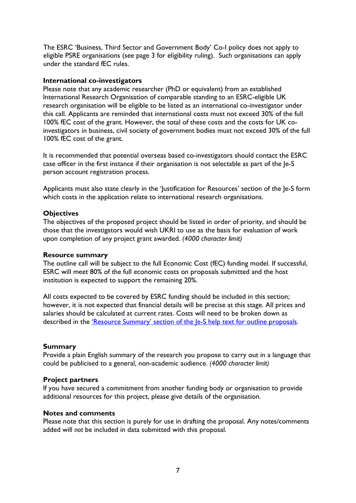The ESRC 'Business, Third Sector and Government Body' Co-I policy does not apply to eligible PSRE organisations (see page 3 for eligibility ruling). Such organisations can apply under the standard fEC rules.

#### <span id="page-6-0"></span>**International co-investigators**

Please note that any academic researcher (PhD or equivalent) from an established International Research Organisation of comparable standing to an ESRC-eligible UK research organisation will be eligible to be listed as an international co-investigator under this call. Applicants are reminded that international costs must not exceed 30% of the full 100% fEC cost of the grant. However, the total of these costs and the costs for UK coinvestigators in business, civil society of government bodies must not exceed 30% of the full 100% fEC cost of the grant.

It is recommended that potential overseas based co-investigators should contact the ESRC case officer in the first instance if their organisation is not selectable as part of the Je-S person account registration process.

Applicants must also state clearly in the 'lustification for Resources' section of the Je-S form which costs in the application relate to international research organisations.

#### <span id="page-6-1"></span>**Objectives**

The objectives of the proposed project should be listed in order of priority, and should be those that the investigators would wish UKRI to use as the basis for evaluation of work upon completion of any project grant awarded. *(4000 character limit)*

#### <span id="page-6-2"></span>**Resource summary**

The outline call will be subject to the full Economic Cost (fEC) funding model. If successful, ESRC will meet 80% of the full economic costs on proposals submitted and the host institution is expected to support the remaining 20%.

All costs expected to be covered by ESRC funding should be included in this section; however, it is not expected that financial details will be precise at this stage. All prices and salaries should be calculated at current rates. Costs will need to be broken down as described in the ['Resource Summary' section of the Je-S help text for outline proposals.](https://je-s.rcuk.ac.uk/Handbook/pages/OutlineProposals/ResourceSummary.htm)

#### <span id="page-6-3"></span>**Summary**

Provide a plain English summary of the research you propose to carry out in a language that could be publicised to a general, non-academic audience. *(4000 character limit)*

#### <span id="page-6-4"></span>**Project partners**

If you have secured a commitment from another funding body or organisation to provide additional resources for this project, please give details of the organisation.

#### <span id="page-6-5"></span>**Notes and comments**

Please note that this section is purely for use in drafting the proposal. Any notes/comments added will *not* be included in data submitted with this proposal.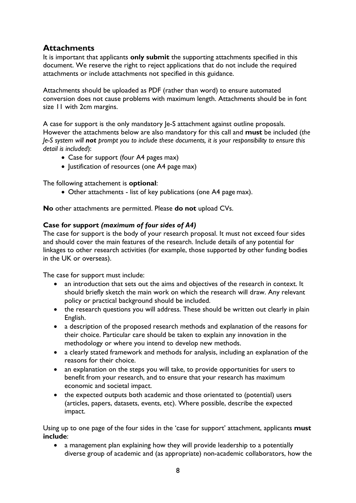# <span id="page-7-0"></span>**Attachments**

It is important that applicants **only submit** the supporting attachments specified in this document. We reserve the right to reject applications that do not include the required attachments or include attachments not specified in this guidance.

Attachments should be uploaded as PDF (rather than word) to ensure automated conversion does not cause problems with maximum length. Attachments should be in font size 11 with 2cm margins.

A case for support is the only mandatory Je-S attachment against outline proposals. However the attachments below are also mandatory for this call and **must** be included (*the Je-S system will not prompt you to include these documents, it is your responsibility to ensure this detail is included*):

- Case for support (four A4 pages max)
- Justification of resources (one A4 page max)

The following attachement is **optional**:

• Other attachments - list of key publications (one A4 page max).

<span id="page-7-1"></span>**No** other attachments are permitted. Please **do not** upload CVs.

### **Case for support** *(maximum of four sides of A4)*

The case for support is the body of your research proposal. It must not exceed four sides and should cover the main features of the research. Include details of any potential for linkages to other research activities (for example, those supported by other funding bodies in the UK or overseas).

The case for support must include:

- an introduction that sets out the aims and objectives of the research in context. It should briefly sketch the main work on which the research will draw. Any relevant policy or practical background should be included.
- the research questions you will address. These should be written out clearly in plain English.
- a description of the proposed research methods and explanation of the reasons for their choice. Particular care should be taken to explain any innovation in the methodology or where you intend to develop new methods.
- a clearly stated framework and methods for analysis, including an explanation of the reasons for their choice.
- an explanation on the steps you will take, to provide opportunities for users to benefit from your research, and to ensure that your research has maximum economic and societal impact.
- the expected outputs both academic and those orientated to (potential) users (articles, papers, datasets, events, etc). Where possible, describe the expected impact.

Using up to one page of the four sides in the 'case for support' attachment, applicants **must include**:

• a management plan explaining how they will provide leadership to a potentially diverse group of academic and (as appropriate) non-academic collaborators, how the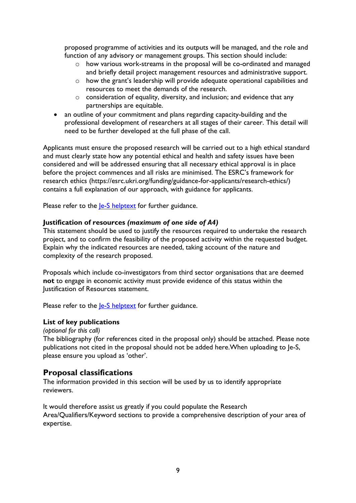proposed programme of activities and its outputs will be managed, and the role and function of any advisory or management groups. This section should include:

- o how various work-streams in the proposal will be co-ordinated and managed and briefly detail project management resources and administrative support.
- o how the grant's leadership will provide adequate operational capabilities and resources to meet the demands of the research.
- o consideration of equality, diversity, and inclusion; and evidence that any partnerships are equitable.
- an outline of your commitment and plans regarding capacity-building and the professional development of researchers at all stages of their career. This detail will need to be further developed at the full phase of the call.

Applicants must ensure the proposed research will be carried out to a high ethical standard and must clearly state how any potential ethical and health and safety issues have been considered and will be addressed ensuring that all necessary ethical approval is in place before the project commences and all risks are minimised. The ESRC's framework for research ethics (https://esrc.ukri.org/funding/guidance-for-applicants/research-ethics/) contains a full explanation of our approach, with guidance for applicants.

Please refer to the **Je-S** helptext for further guidance.

#### <span id="page-8-0"></span>**Justification of resources** *(maximum of one side of A4)*

This statement should be used to justify the resources required to undertake the research project, and to confirm the feasibility of the proposed activity within the requested budget. Explain why the indicated resources are needed, taking account of the nature and complexity of the research proposed.

Proposals which include co-investigators from third sector organisations that are deemed **not** to engage in economic activity must provide evidence of this status within the Justification of Resources statement.

Please refer to the *le-S* helptext for further guidance.

#### **List of key publications**

*(optional for this call)*

The bibliography (for references cited in the proposal only) should be attached. Please note publications not cited in the proposal should not be added here.When uploading to Je-S, please ensure you upload as 'other'.

## <span id="page-8-1"></span>**Proposal classifications**

The information provided in this section will be used by us to identify appropriate reviewers.

It would therefore assist us greatly if you could populate the Research Area/Qualifiers/Keyword sections to provide a comprehensive description of your area of expertise.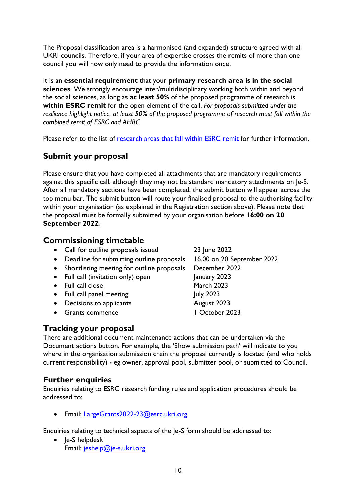The Proposal classification area is a harmonised (and expanded) structure agreed with all UKRI councils. Therefore, if your area of expertise crosses the remits of more than one council you will now only need to provide the information once.

It is an **essential requirement** that your **primary research area is in the social sciences**. We strongly encourage inter/multidisciplinary working both within and beyond the social sciences, as long as **at least 50%** of the proposed programme of research is **within ESRC remit** for the open element of the call. *For proposals submitted under the resilience highlight notice, at least 50% of the proposed programme of research must fall within the combined remit of ESRC and AHRC*

Please refer to the list of [research areas that fall within ESRC remit](https://esrc.ukri.org/funding/guidance-for-applicants/is-my-research-suitable-for-esrc-funding/discipline-classifications/) for further information.

## <span id="page-9-0"></span>**Submit your proposal**

Please ensure that you have completed all attachments that are mandatory requirements against this specific call, although they may not be standard mandatory attachments on Je-S. After all mandatory sections have been completed, the submit button will appear across the top menu bar. The submit button will route your finalised proposal to the authorising facility within your organisation (as explained in the Registration section above). Please note that the proposal must be formally submitted by your organisation before **16:00 on 20 September 2022***.* 

## <span id="page-9-1"></span>**Commissioning timetable**

- Call for outline proposals issued 23 June 2022
- Deadline for submitting outline proposals 16.00 on 20 September 2022
- Shortlisting meeting for outline proposals December 2022
- Full call (invitation only) open January 2023
- Full call close March 2023
- Full call panel meeting July 2023
- Decisions to applicants **August 2023**
- Grants commence 1 October 2023

<span id="page-9-2"></span>**Tracking your proposal**

There are additional document maintenance actions that can be undertaken via the Document actions button. For example, the 'Show submission path' will indicate to you where in the organisation submission chain the proposal currently is located (and who holds current responsibility) - eg owner, approval pool, submitter pool, or submitted to Council.

## <span id="page-9-3"></span>**Further enquiries**

Enquiries relating to ESRC research funding rules and application procedures should be addressed to:

• Email: [LargeGrants2022-23@esrc.ukri.org](mailto:LargeGrants2022-23@esrc.ukri.org)

Enquiries relating to technical aspects of the Je-S form should be addressed to:

• Je-S helpdesk Email: [jeshelp@je-s.ukri.org](mailto:jeshelp@je-s.ukri.org)